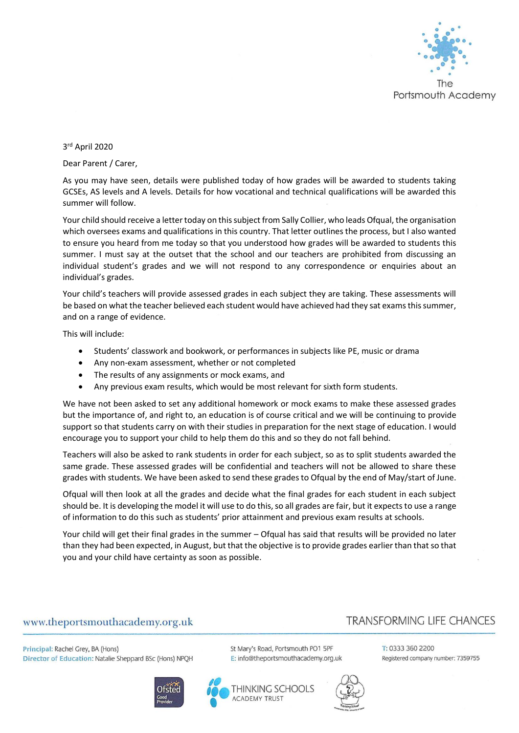

3 rd April 2020

Dear Parent / Carer,

As you may have seen, details were published today of how grades will be awarded to students taking GCSEs, AS levels and A levels. Details for how vocational and technical qualifications will be awarded this summer will follow.

Your child should receive a letter today on this subject from Sally Collier, who leads Ofqual, the organisation which oversees exams and qualifications in this country. That letter outlines the process, but I also wanted to ensure you heard from me today so that you understood how grades will be awarded to students this summer. I must say at the outset that the school and our teachers are prohibited from discussing an individual student's grades and we will not respond to any correspondence or enquiries about an individual's grades.

Your child's teachers will provide assessed grades in each subject they are taking. These assessments will be based on what the teacher believed each student would have achieved had they sat exams this summer, and on a range of evidence.

This will include:

- Students' classwork and bookwork, or performances in subjects like PE, music or drama
- Any non-exam assessment, whether or not completed
- The results of any assignments or mock exams, and
- Any previous exam results, which would be most relevant for sixth form students.

We have not been asked to set any additional homework or mock exams to make these assessed grades but the importance of, and right to, an education is of course critical and we will be continuing to provide support so that students carry on with their studies in preparation for the next stage of education. I would encourage you to support your child to help them do this and so they do not fall behind.

Teachers will also be asked to rank students in order for each subject, so as to split students awarded the same grade. These assessed grades will be confidential and teachers will not be allowed to share these grades with students. We have been asked to send these grades to Ofqual by the end of May/start of June.

Ofqual will then look at all the grades and decide what the final grades for each student in each subject should be. It is developing the model it will use to do this, so all grades are fair, but it expects to use a range of information to do this such as students' prior attainment and previous exam results at schools.

Your child will get their final grades in the summer – Ofqual has said that results will be provided no later than they had been expected, in August, but that the objective is to provide grades earlier than that so that you and your child have certainty as soon as possible.

## www.theportsmouthacademy.org.uk

## **TRANSFORMING LIFE CHANCES**

Principal: Rachel Grey, BA (Hons) Director of Education: Natalie Sheppard BSc (Hons) NPQH







St Mary's Road, Portsmouth PO1 5PF E: info@theportsmouthacademy.org.uk